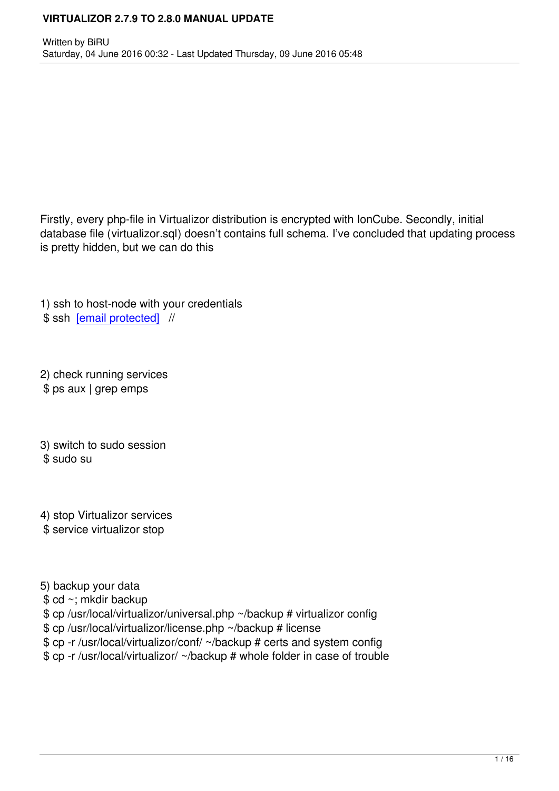Firstly, every php-file in Virtualizor distribution is encrypted with IonCube. Secondly, initial database file (virtualizor.sql) doesn't contains full schema. I've concluded that updating process is pretty hidden, but we can do this

1) ssh to host-node with your credentials \$ ssh [email protected] //

2) che[ck running service](cdn-cgi/l/email-protection)s \$ ps aux | grep emps

3) switch to sudo session \$ sudo su

4) stop Virtualizor services \$ service virtualizor stop

5) backup your data

\$ cd ~; mkdir backup

\$ cp /usr/local/virtualizor/universal.php ~/backup # virtualizor config

\$ cp /usr/local/virtualizor/license.php ~/backup # license

\$ cp -r /usr/local/virtualizor/conf/ ~/backup # certs and system config

\$ cp -r /usr/local/virtualizor/ ~/backup # whole folder in case of trouble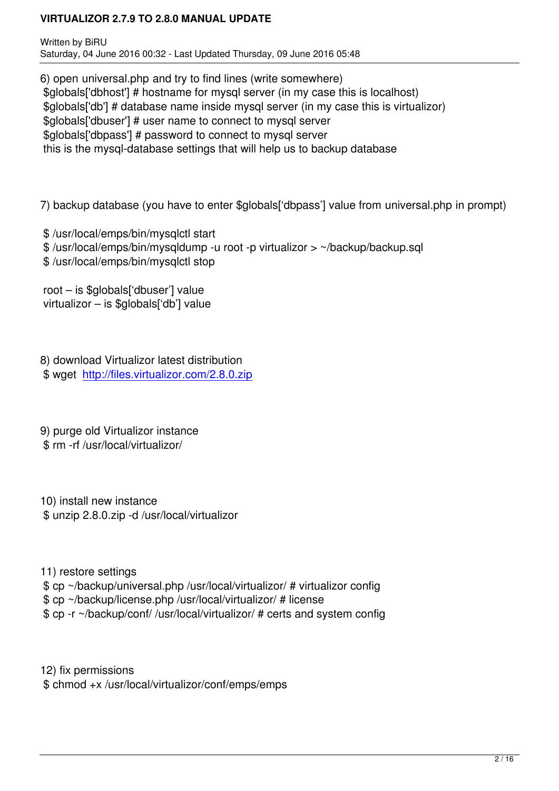6) open universal.php and try to find lines (write somewhere) \$globals['dbhost'] # hostname for mysql server (in my case this is localhost) \$globals['db'] # database name inside mysql server (in my case this is virtualizor) \$globals['dbuser'] # user name to connect to mysql server \$globals['dbpass'] # password to connect to mysql server this is the mysql-database settings that will help us to backup database

7) backup database (you have to enter \$globals['dbpass'] value from universal.php in prompt)

- \$ /usr/local/emps/bin/mysqlctl start
- \$ /usr/local/emps/bin/mysqldump -u root -p virtualizor > ~/backup/backup.sql
- \$ /usr/local/emps/bin/mysqlctl stop

 root – is \$globals['dbuser'] value virtualizor – is \$globals['db'] value

8) download Virtualizor latest distribution \$ wget http://files.virtualizor.com/2.8.0.zip

9) purge [old Virtualizor instance](http://files.virtualizor.com/2.8.0.zip) \$ rm -rf /usr/local/virtualizor/

10) install new instance \$ unzip 2.8.0.zip -d /usr/local/virtualizor

11) restore settings \$ cp ~/backup/universal.php /usr/local/virtualizor/ # virtualizor config \$ cp ~/backup/license.php /usr/local/virtualizor/ # license \$ cp -r ~/backup/conf/ /usr/local/virtualizor/ # certs and system config

12) fix permissions \$ chmod +x /usr/local/virtualizor/conf/emps/emps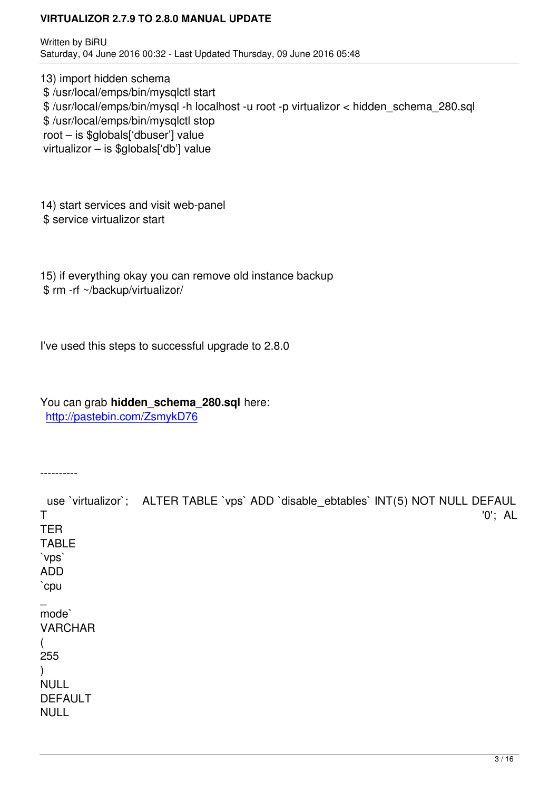13) import hidden schema \$ /usr/local/emps/bin/mysqlctl start \$ /usr/local/emps/bin/mysql -h localhost -u root -p virtualizor < hidden\_schema\_280.sql \$ /usr/local/emps/bin/mysqlctl stop root – is \$globals['dbuser'] value virtualizor – is \$globals['db'] value

14) start services and visit web-panel \$ service virtualizor start

15) if everything okay you can remove old instance backup \$ rm -rf ~/backup/virtualizor/

I've used this steps to successful upgrade to 2.8.0

You can grab **hidden\_schema\_280.sql** here: http://pastebin.com/ZsmykD76

-[---------](http://pastebin.com/ZsmykD76)

use 'virtualizor'; ALTER TABLE 'vps' ADD 'disable ebtables' INT(5) NOT NULL DEFAUL T '0'; AL TER TABLE `vps` ADD `cpu  $\overline{\phantom{a}}$ mode` VARCHAR ( 255  $\lambda$ NULL DEFAULT NULL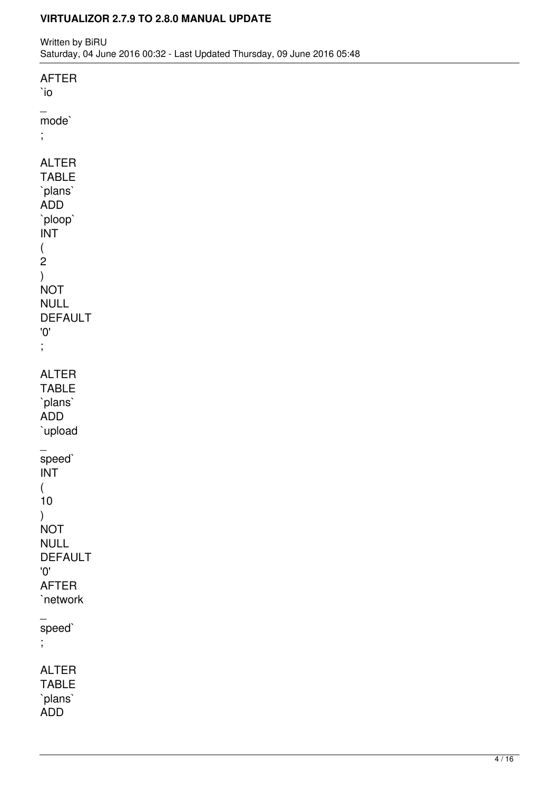Written by BiRU Saturday, 04 June 2016 00:32 - Last Updated Thursday, 09 June 2016 05:48

| <b>AFTER</b><br>$\dot{0}$                                                                                                                                                                                           |  |  |  |
|---------------------------------------------------------------------------------------------------------------------------------------------------------------------------------------------------------------------|--|--|--|
| $-$ mode`<br>$\frac{1}{2}$                                                                                                                                                                                          |  |  |  |
| <b>ALTER</b><br><b>TABLE</b><br>`plans`<br>ADD<br>`ploop`<br>$\ensuremath{\mathsf{INT}}$<br>$\begin{array}{c} ( \\ 2 \end{array}$<br>$\big)$<br><b>NOT</b><br><b>NULL</b><br><b>DEFAULT</b><br>'0'<br>$\frac{1}{2}$ |  |  |  |
| <b>ALTER</b><br><b>TABLE</b><br>`plans`<br><b>ADD</b><br>`upload                                                                                                                                                    |  |  |  |
| -<br>speed`<br>$\ensuremath{\mathsf{INT}}$<br>$\left($<br>$10$<br>$\big)$<br><b>NOT</b><br><b>NULL</b><br><b>DEFAULT</b><br>'0'<br><b>AFTER</b><br>`network                                                         |  |  |  |
| -<br>speed`<br>÷,                                                                                                                                                                                                   |  |  |  |
| <b>ALTER</b><br><b>TABLE</b><br>`plans`<br><b>ADD</b>                                                                                                                                                               |  |  |  |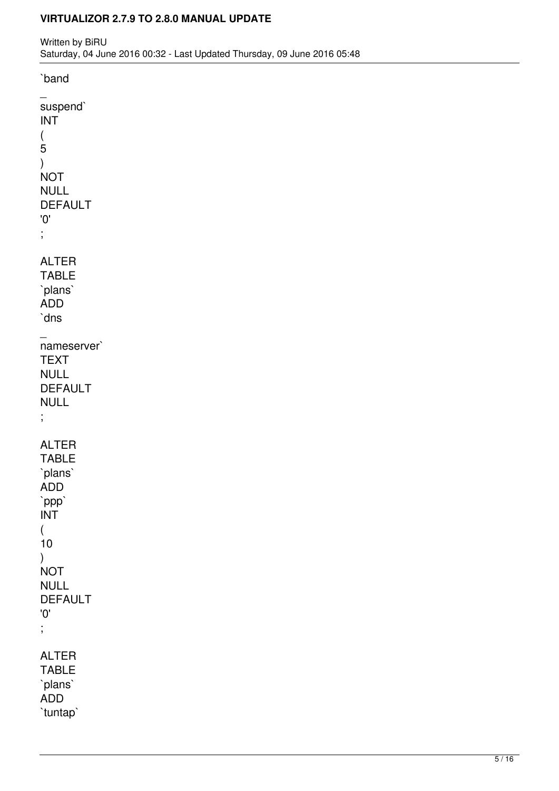`band \_ suspend` INT (  $\overline{5}$ ) NOT NULL DEFAULT '0' ; ALTER TABLE `plans` ADD `dns  $\overline{\phantom{a}}$ nameserver` **TEXT** NULL DEFAULT NULL ; ALTER TABLE `plans` ADD `ppp` INT ( 10 ) NOT NULL DEFAULT '0' ; ALTER TABLE `plans` ADD `tuntap`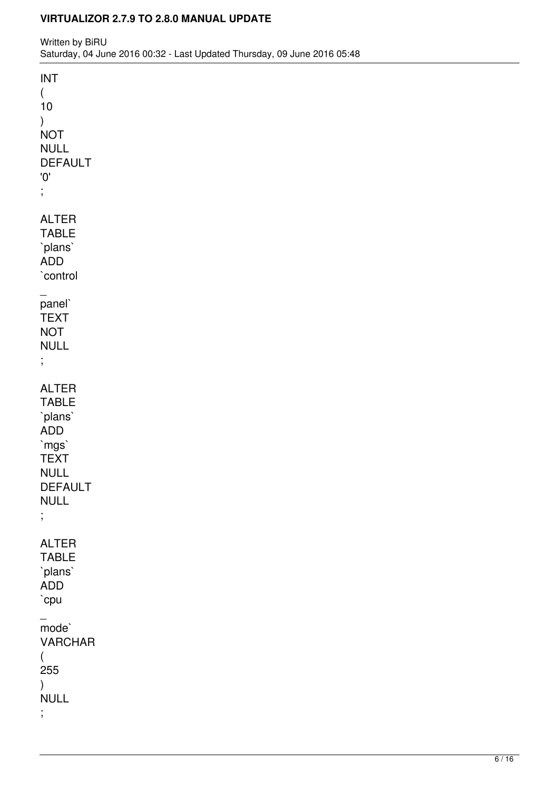| <b>INT</b>     |  |  |  |
|----------------|--|--|--|
| $\left($       |  |  |  |
| $10$           |  |  |  |
| $\big)$        |  |  |  |
| <b>NOT</b>     |  |  |  |
| <b>NULL</b>    |  |  |  |
| <b>DEFAULT</b> |  |  |  |
| '0'            |  |  |  |
| $\frac{1}{2}$  |  |  |  |
| <b>ALTER</b>   |  |  |  |
| <b>TABLE</b>   |  |  |  |
| `plans`        |  |  |  |
| ADD            |  |  |  |
| `control       |  |  |  |
|                |  |  |  |
| -<br>panel`    |  |  |  |
| <b>TEXT</b>    |  |  |  |
| <b>NOT</b>     |  |  |  |
| <b>NULL</b>    |  |  |  |
| $\frac{1}{2}$  |  |  |  |
|                |  |  |  |
| <b>ALTER</b>   |  |  |  |
| <b>TABLE</b>   |  |  |  |
| `plans`        |  |  |  |
| ADD<br>`mgs`   |  |  |  |
| <b>TEXT</b>    |  |  |  |
| <b>NULL</b>    |  |  |  |
| <b>DEFAULT</b> |  |  |  |
| <b>NULL</b>    |  |  |  |
| $\vdots$       |  |  |  |
|                |  |  |  |
| <b>ALTER</b>   |  |  |  |
| <b>TABLE</b>   |  |  |  |
| `plans`        |  |  |  |
| ADD            |  |  |  |
| `cpu           |  |  |  |
| $mode-$        |  |  |  |
| <b>VARCHAR</b> |  |  |  |
| $\left($       |  |  |  |
| 255            |  |  |  |
| $\mathcal{L}$  |  |  |  |
| <b>NULL</b>    |  |  |  |
| $\frac{1}{2}$  |  |  |  |
|                |  |  |  |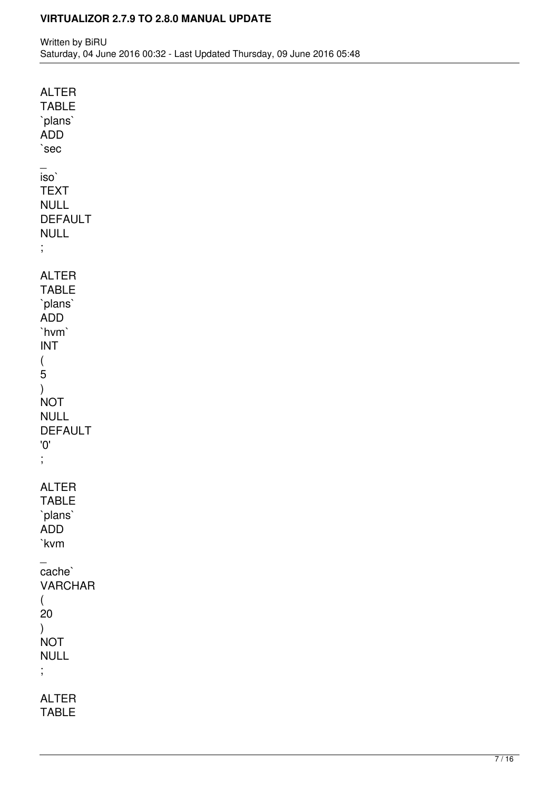| <b>ALTER</b><br><b>TABLE</b><br>`plans`<br><b>ADD</b><br>`sec                                                                                                                 |
|-------------------------------------------------------------------------------------------------------------------------------------------------------------------------------|
| iso`<br><b>TEXT</b><br><b>NULL</b><br><b>DEFAULT</b><br><b>NULL</b><br>;                                                                                                      |
| <b>ALTER</b><br><b>TABLE</b><br>`plans`<br><b>ADD</b><br>`hvm`<br><b>INT</b><br>$\overline{(\ }$<br>5<br>$\lambda$<br><b>NOT</b><br><b>NULL</b><br><b>DEFAULT</b><br>'0'<br>; |
| <b>ALTER</b><br><b>TABLE</b><br>`plans`<br><b>ADD</b><br>`kvm                                                                                                                 |
| cache`<br><b>VARCHAR</b><br>(<br>20<br>$\overline{)}$<br><b>NOT</b><br>NULL<br>;                                                                                              |
| <b>ALTER</b><br><b>TABLE</b>                                                                                                                                                  |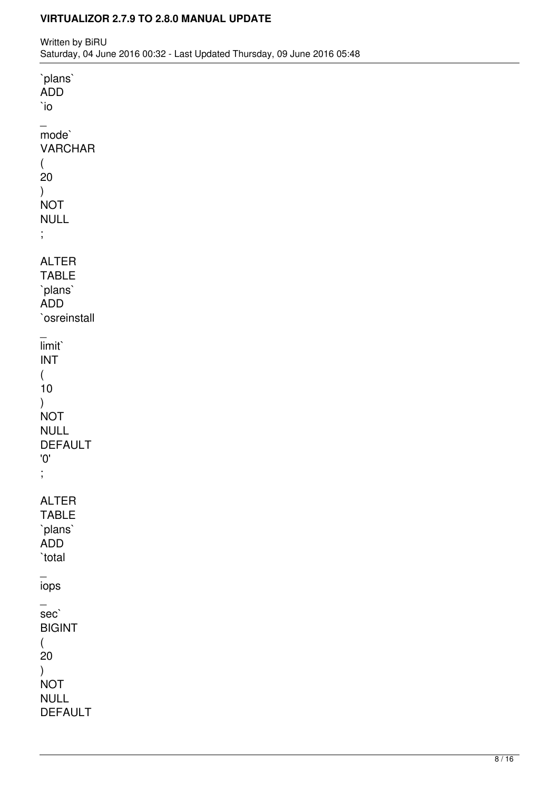Written by BiRU Saturday, 04 June 2016 00:32 - Last Updated Thursday, 09 June 2016 05:48

`plans` ADD `io  $\overline{\phantom{a}}$ mode` VARCHAR ( 20 ) **NOT** NULL ; ALTER TABLE `plans` ADD `osreinstall  $\overline{\phantom{a}}$ limit` INT ( 10 ) **NOT** NULL DEFAULT '0' ; ALTER TABLE `plans` ADD `total  $\overline{\phantom{a}}$ iops  $\overline{\phantom{a}}$ sec` BIGINT ( 20 ) **NOT** NULL DEFAULT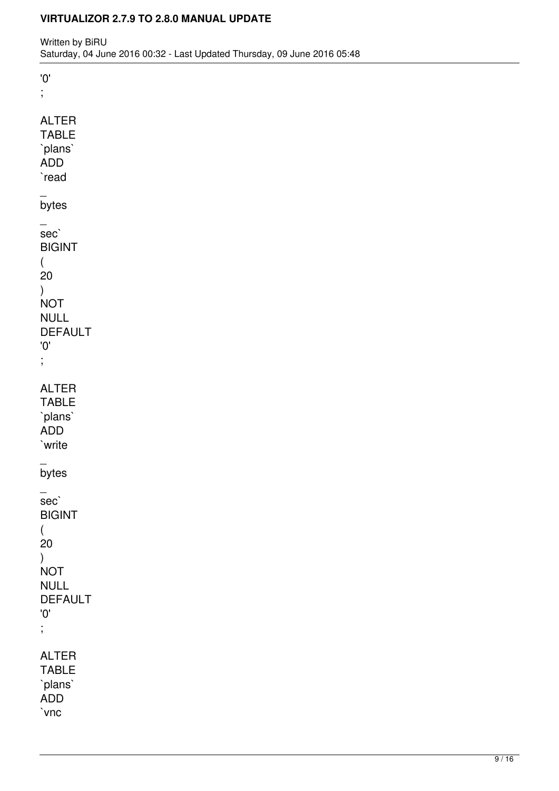'0' ;

| ALTER<br><b>TABLE</b><br>`plans`<br>ADD<br>`read                                                                   |
|--------------------------------------------------------------------------------------------------------------------|
| bytes                                                                                                              |
| —<br>sec`<br><b>BIGINT</b><br>(<br>20<br>)<br><b>NOT</b><br><b>NULL</b><br><b>DEFAULT</b><br>'0'<br>$\frac{1}{2}$  |
| <b>ALTER</b><br><b>TABLE</b><br>`plans`<br>ADD<br>`write                                                           |
| bytes                                                                                                              |
| sec`<br><b>BIGINT</b><br>(<br>20<br>)<br><b>NOT</b><br><b>NULL</b><br><b>DEFAULT</b><br>$^{\prime}0^{\prime}$<br>; |
| <b>ALTER</b><br><b>TABLE</b><br>`plans`<br>ADD<br>`vnc                                                             |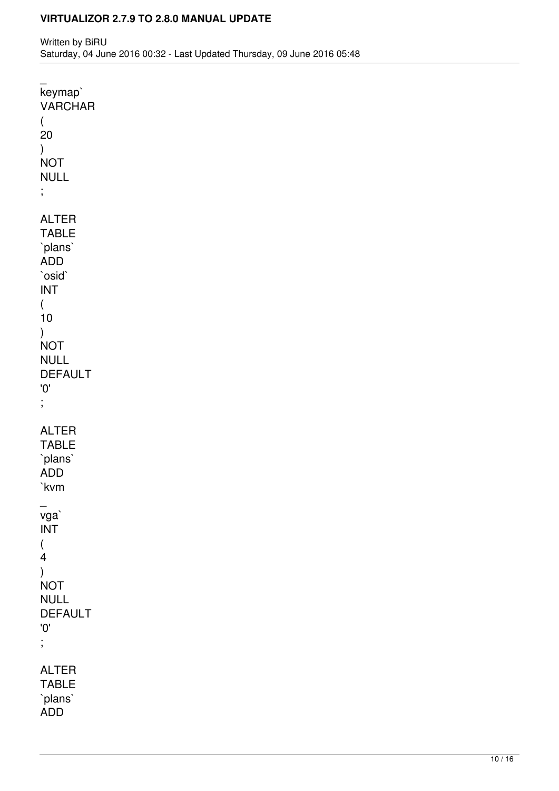keymap` VARCHAR ( 20 ) **NOT** NULL ; ALTER TABLE `plans` ADD `osid` INT ( 10 ) **NOT** NULL DEFAULT '0' ; ALTER TABLE `plans` ADD `kvm  $\overline{\phantom{a}}$ vga` INT ( 4 ) NOT NULL DEFAULT '0' ; ALTER TABLE `plans` ADD

 $\overline{\phantom{a}}$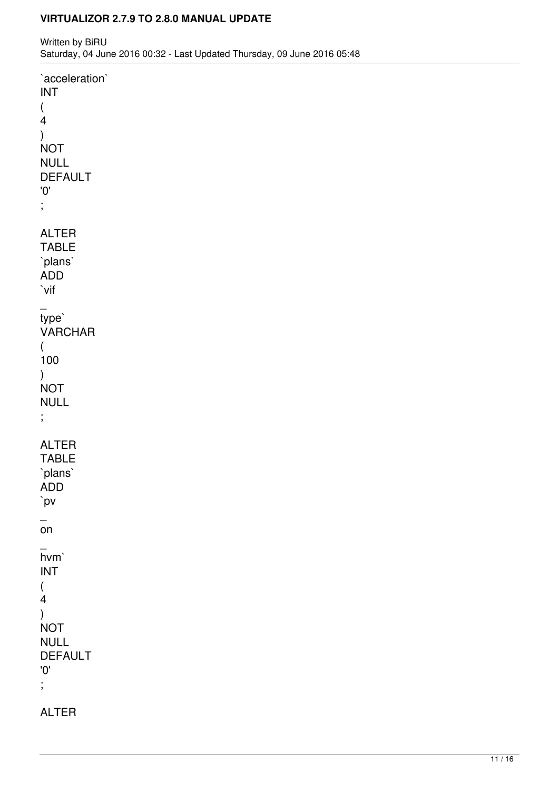Written by BiRU Saturday, 04 June 2016 00:32 - Last Updated Thursday, 09 June 2016 05:48

`acceleration` INT ( 4 ) **NOT** NULL DEFAULT '0' ; ALTER TABLE `plans` ADD `vif  $\overline{\phantom{a}}$ type` VARCHAR ( 100 ) **NOT** NULL ; ALTER TABLE `plans` ADD `pv  $\overline{\phantom{0}}$ on  $\overline{\phantom{a}}$ hvm` INT ( 4 ) NOT NULL DEFAULT '0' ;

ALTER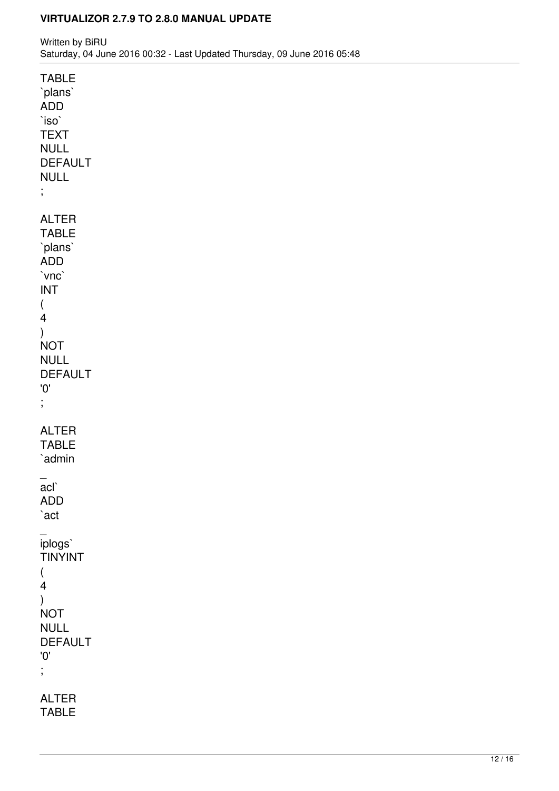| TABLE<br>`plans`<br><b>ADD</b><br>`iso`<br><b>TEXT</b><br><b>NULL</b><br><b>DEFAULT</b><br><b>NULL</b><br>$\vdots$ |
|--------------------------------------------------------------------------------------------------------------------|
| <b>ALTER</b><br><b>TABLE</b><br>`plans`<br>ADD<br>`vnc`<br><b>INT</b><br>(<br>4                                    |
| )<br><b>NOT</b><br><b>NULL</b><br><b>DEFAULT</b><br>$^{\prime}0^{\prime}$<br>$\frac{1}{2}$                         |
| ALTER<br><b>TABLE</b><br>`admin                                                                                    |
| acl`<br><b>ADD</b><br>`act                                                                                         |
| _<br>iplogs`<br><b>TINYINT</b><br>(<br>4<br>)<br><b>NOT</b><br><b>NULL</b><br><b>DEFAULT</b><br>'O'<br>;           |
| <b>ALTER</b><br><b>TABLE</b>                                                                                       |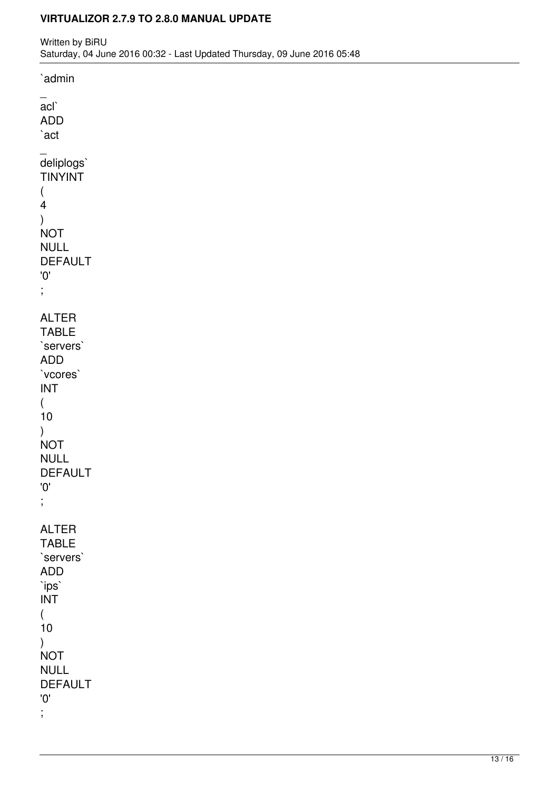`admin  $\overline{\phantom{0}}$ acl` ADD `act  $\overline{\phantom{a}}$ deliplogs` TINYINT ( 4 ) **NOT** NULL DEFAULT '0' ; ALTER TABLE `servers` ADD `vcores` INT ( 10 ) **NOT** NULL DEFAULT '0' ; ALTER TABLE `servers` ADD `ips` INT ( 10 ) **NOT** NULL DEFAULT '0' ;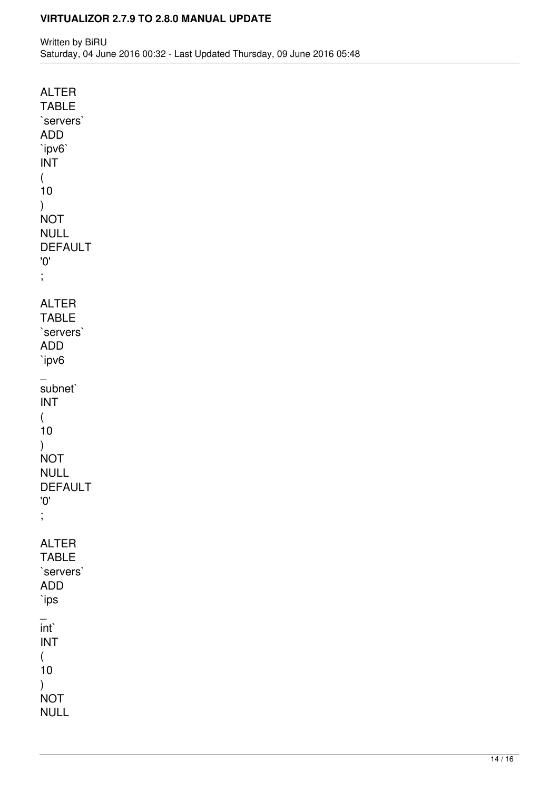ALTER TABLE `servers` ADD `ipv6` INT ( 10 ) **NOT** NULL DEFAULT '0' ; ALTER TABLE `servers` ADD `ipv6  $\overline{\phantom{a}}$ subnet` INT ( 10 ) **NOT** NULL DEFAULT '0' ; ALTER TABLE `servers` ADD `ips  $\overline{\phantom{a}}$ int` INT ( 10 ) **NOT** NULL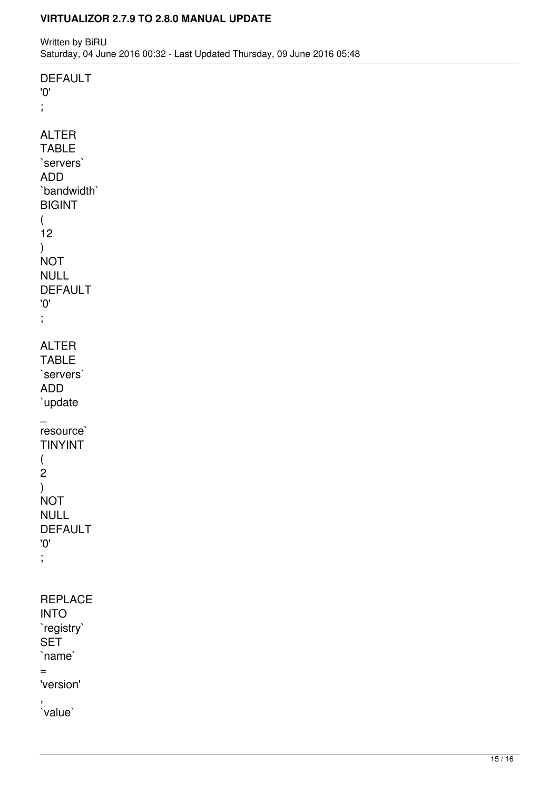Written by BiRU Saturday, 04 June 2016 00:32 - Last Updated Thursday, 09 June 2016 05:48

'0' ; ALTER TABLE `servers` ADD `bandwidth` BIGINT ( 12 ) **NOT** NULL DEFAULT '0' ; ALTER TABLE `servers` ADD `update  $\overline{\phantom{a}}$ resource` TINYINT ( 2 ) **NOT** NULL DEFAULT '0' ; REPLACE INTO `registry` **SET** `name` = 'version' , `value`

DEFAULT